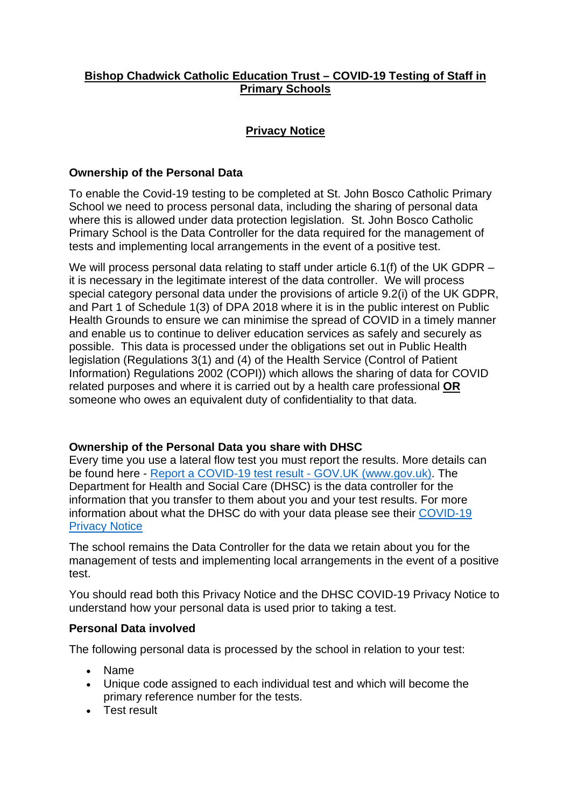# **Bishop Chadwick Catholic Education Trust – COVID-19 Testing of Staff in Primary Schools**

# **Privacy Notice**

## **Ownership of the Personal Data**

To enable the Covid-19 testing to be completed at St. John Bosco Catholic Primary School we need to process personal data, including the sharing of personal data where this is allowed under data protection legislation. St. John Bosco Catholic Primary School is the Data Controller for the data required for the management of tests and implementing local arrangements in the event of a positive test.

We will process personal data relating to staff under article 6.1(f) of the UK GDPR – it is necessary in the legitimate interest of the data controller. We will process special category personal data under the provisions of article 9.2(i) of the UK GDPR, and Part 1 of Schedule 1(3) of DPA 2018 where it is in the public interest on Public Health Grounds to ensure we can minimise the spread of COVID in a timely manner and enable us to continue to deliver education services as safely and securely as possible. This data is processed under the obligations set out in Public Health legislation (Regulations 3(1) and (4) of the Health Service (Control of Patient Information) Regulations 2002 (COPI)) which allows the sharing of data for COVID related purposes and where it is carried out by a health care professional **OR** someone who owes an equivalent duty of confidentiality to that data.

## **Ownership of the Personal Data you share with DHSC**

Every time you use a lateral flow test you must report the results. More details can be found here - [Report a COVID-19 test result -](https://www.gov.uk/report-covid19-result) [GOV.UK \(www.gov.uk\).](https://www.gov.uk/report-covid19-result) The Department for Health and Social Care (DHSC) is the data controller for the information that you transfer to them about you and your test results. For more information about what the DHSC do with your data please see their [COVID-19](https://www.gov.uk/government/publications/coronavirus-covid-19-testing-privacy-information)  [Privacy Notice](https://www.gov.uk/government/publications/coronavirus-covid-19-testing-privacy-information)

The school remains the Data Controller for the data we retain about you for the management of tests and implementing local arrangements in the event of a positive test.

You should read both this Privacy Notice and the DHSC COVID-19 Privacy Notice to understand how your personal data is used prior to taking a test.

### **Personal Data involved**

The following personal data is processed by the school in relation to your test:

- Name
- Unique code assigned to each individual test and which will become the primary reference number for the tests.
- Test result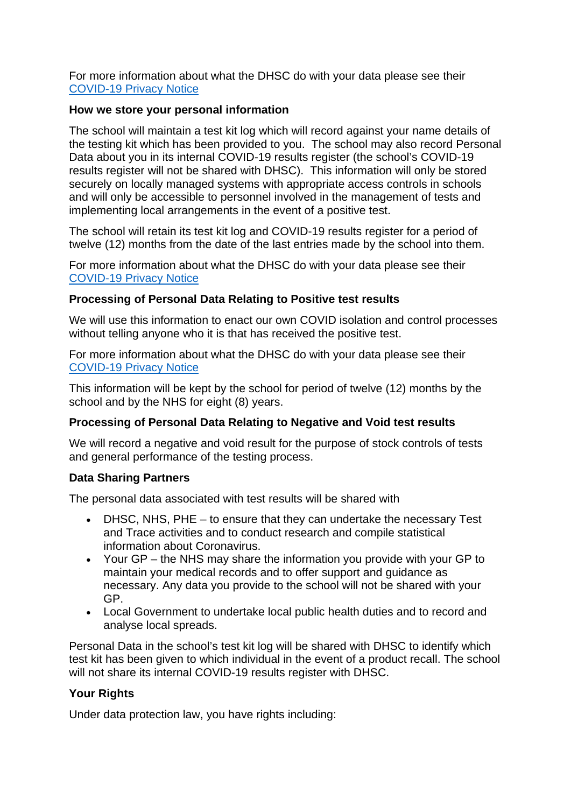For more information about what the DHSC do with your data please see their [COVID-19 Privacy Notice](https://www.gov.uk/government/publications/coronavirus-covid-19-testing-privacy-information)

## **How we store your personal information**

The school will maintain a test kit log which will record against your name details of the testing kit which has been provided to you. The school may also record Personal Data about you in its internal COVID-19 results register (the school's COVID-19 results register will not be shared with DHSC). This information will only be stored securely on locally managed systems with appropriate access controls in schools and will only be accessible to personnel involved in the management of tests and implementing local arrangements in the event of a positive test.

The school will retain its test kit log and COVID-19 results register for a period of twelve (12) months from the date of the last entries made by the school into them.

For more information about what the DHSC do with your data please see their [COVID-19 Privacy Notice](https://www.gov.uk/government/publications/coronavirus-covid-19-testing-privacy-information)

### **Processing of Personal Data Relating to Positive test results**

We will use this information to enact our own COVID isolation and control processes without telling anyone who it is that has received the positive test.

For more information about what the DHSC do with your data please see their [COVID-19 Privacy Notice](https://www.gov.uk/government/publications/coronavirus-covid-19-testing-privacy-information)

This information will be kept by the school for period of twelve (12) months by the school and by the NHS for eight (8) years.

## **Processing of Personal Data Relating to Negative and Void test results**

We will record a negative and void result for the purpose of stock controls of tests and general performance of the testing process.

#### **Data Sharing Partners**

The personal data associated with test results will be shared with

- DHSC, NHS, PHE to ensure that they can undertake the necessary Test and Trace activities and to conduct research and compile statistical information about Coronavirus.
- Your GP the NHS may share the information you provide with your GP to maintain your medical records and to offer support and guidance as necessary. Any data you provide to the school will not be shared with your GP.
- Local Government to undertake local public health duties and to record and analyse local spreads.

Personal Data in the school's test kit log will be shared with DHSC to identify which test kit has been given to which individual in the event of a product recall. The school will not share its internal COVID-19 results register with DHSC.

## **Your Rights**

Under data protection law, you have rights including: